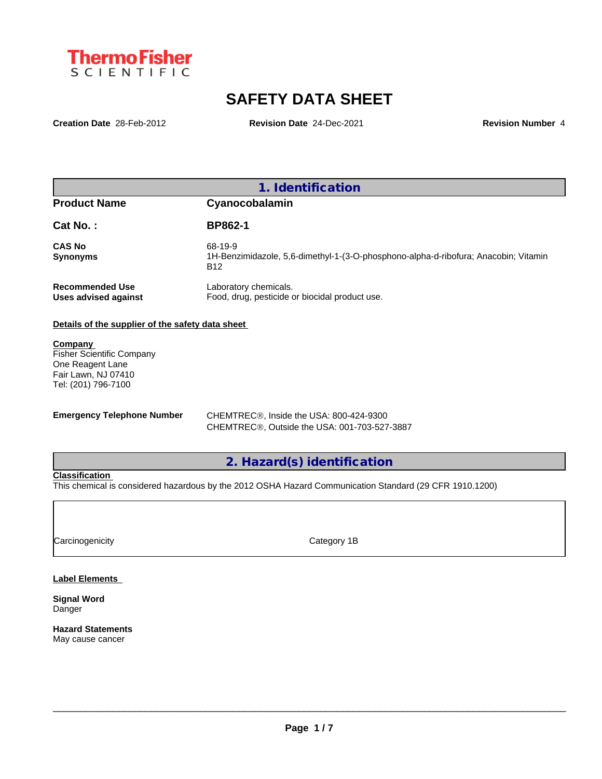

# **SAFETY DATA SHEET**

**Creation Date** 28-Feb-2012 **Revision Date** 24-Dec-2021 **Revision Number** 4

|                                                | Identification                                                                                               |
|------------------------------------------------|--------------------------------------------------------------------------------------------------------------|
| <b>Product Name</b>                            | Cyanocobalamin                                                                                               |
| Cat No.:                                       | <b>BP862-1</b>                                                                                               |
| <b>CAS No</b><br><b>Synonyms</b>               | 68-19-9<br>1H-Benzimidazole, 5,6-dimethyl-1-(3-O-phosphono-alpha-d-ribofura; Anacobin; Vitamin<br><b>B12</b> |
| <b>Recommended Use</b><br>Uses advised against | Laboratory chemicals.<br>Food, drug, pesticide or biocidal product use.                                      |

### **Details of the supplier of the safety data sheet**

**Company**  Fisher Scientific Company One Reagent Lane Fair Lawn, NJ 07410 Tel: (201) 796-7100

**Emergency Telephone Number** CHEMTREC®, Inside the USA: 800-424-9300 CHEMTREC®, Outside the USA: 001-703-527-3887

**2. Hazard(s) identification**

#### **Classification**

This chemical is considered hazardous by the 2012 OSHA Hazard Communication Standard (29 CFR 1910.1200)

Carcinogenicity **Category 1B** 

### **Label Elements**

**Signal Word** Danger

**Hazard Statements** May cause cancer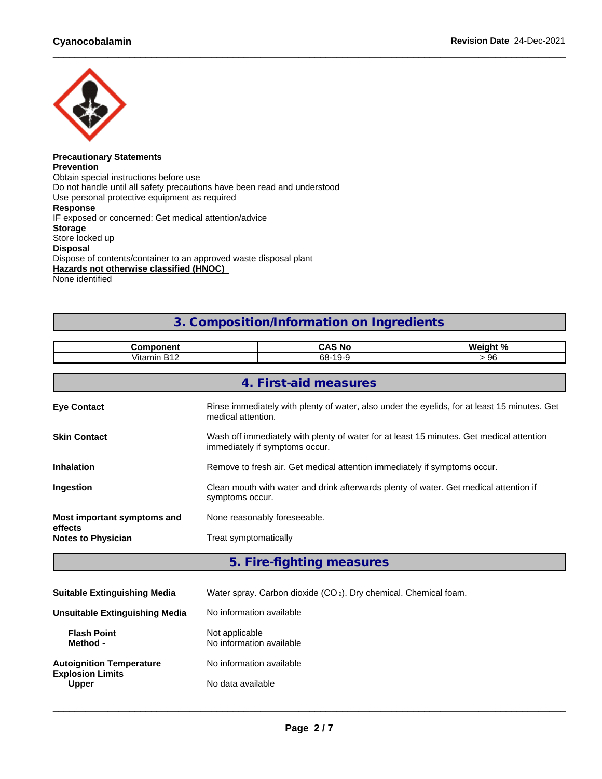

#### **Precautionary Statements Prevention** Obtain special instructions before use Do not handle until all safety precautions have been read and understood Use personal protective equipment as required **Response** IF exposed or concerned: Get medical attention/advice **Storage** Store locked up **Disposal** Dispose of contents/container to an approved waste disposal plant **Hazards not otherwise classified (HNOC)** None identified

## **3. Composition/Information on Ingredients**

|                            | $\sim$ $\sim$<br>→ л.<br>'NC<br>-- | $\mathbf{a}$<br>$\blacksquare$<br>,, |
|----------------------------|------------------------------------|--------------------------------------|
| $\cdots$<br>а и<br>Vitamin | $\sim$<br>68-                      | ΩC<br>- 70                           |

|                                      | 4. First-aid measures                                                                                                      |  |  |  |
|--------------------------------------|----------------------------------------------------------------------------------------------------------------------------|--|--|--|
| <b>Eye Contact</b>                   | Rinse immediately with plenty of water, also under the eyelids, for at least 15 minutes. Get<br>medical attention.         |  |  |  |
| <b>Skin Contact</b>                  | Wash off immediately with plenty of water for at least 15 minutes. Get medical attention<br>immediately if symptoms occur. |  |  |  |
| <b>Inhalation</b>                    | Remove to fresh air. Get medical attention immediately if symptoms occur.                                                  |  |  |  |
| Ingestion                            | Clean mouth with water and drink afterwards plenty of water. Get medical attention if<br>symptoms occur.                   |  |  |  |
| Most important symptoms and          | None reasonably foreseeable.                                                                                               |  |  |  |
| effects<br><b>Notes to Physician</b> | Treat symptomatically                                                                                                      |  |  |  |
|                                      |                                                                                                                            |  |  |  |

**5. Fire-fighting measures**

| <b>Suitable Extinguishing Media</b>     | Water spray. Carbon dioxide (CO <sub>2</sub> ). Dry chemical. Chemical foam. |  |
|-----------------------------------------|------------------------------------------------------------------------------|--|
| <b>Unsuitable Extinguishing Media</b>   | No information available                                                     |  |
| <b>Flash Point</b><br>Method -          | Not applicable<br>No information available                                   |  |
| <b>Autoignition Temperature</b>         | No information available                                                     |  |
| <b>Explosion Limits</b><br><b>Upper</b> | No data available                                                            |  |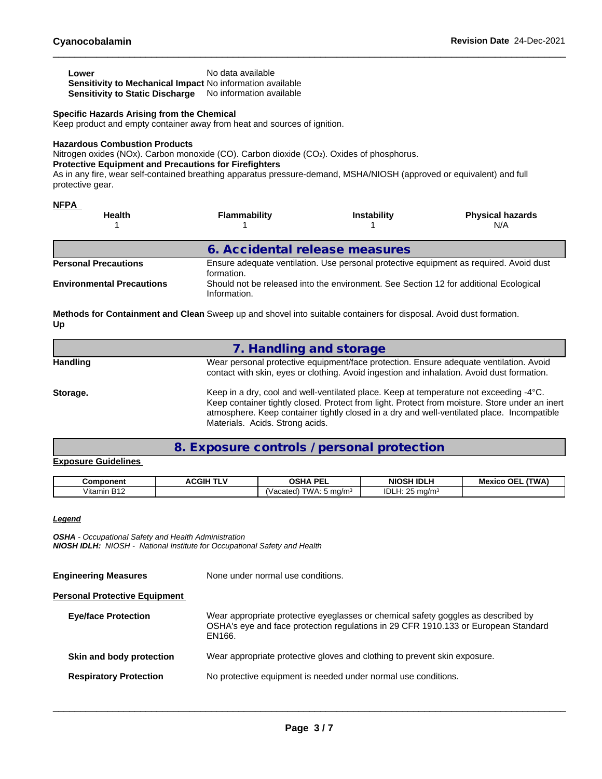| Lower                                                            | No data available        |
|------------------------------------------------------------------|--------------------------|
| <b>Sensitivity to Mechanical Impact No information available</b> |                          |
| Sensitivity to Static Discharge                                  | No information available |

#### **Specific Hazards Arising from the Chemical**

Keep product and empty container away from heat and sources of ignition.

#### **Hazardous Combustion Products**

Nitrogen oxides (NOx). Carbon monoxide (CO). Carbon dioxide (CO2). Oxides of phosphorus.

#### **Protective Equipment and Precautions for Firefighters**

As in any fire, wear self-contained breathing apparatus pressure-demand, MSHA/NIOSH (approved or equivalent) and full protective gear.

| <b>NFPA</b><br><b>Health</b>     | <b>Flammability</b>                                                                                   | <b>Instability</b> | <b>Physical hazards</b><br>N/A                                                         |
|----------------------------------|-------------------------------------------------------------------------------------------------------|--------------------|----------------------------------------------------------------------------------------|
|                                  | 6. Accidental release measures                                                                        |                    |                                                                                        |
| <b>Personal Precautions</b>      | formation.                                                                                            |                    | Ensure adequate ventilation. Use personal protective equipment as required. Avoid dust |
| <b>Environmental Precautions</b> | Should not be released into the environment. See Section 12 for additional Ecological<br>Information. |                    |                                                                                        |

**Methods for Containment and Clean** Sweep up and shovel into suitable containers for disposal. Avoid dust formation. **Up**

|                 | 7. Handling and storage                                                                                                                                                                                                                                                                                                   |
|-----------------|---------------------------------------------------------------------------------------------------------------------------------------------------------------------------------------------------------------------------------------------------------------------------------------------------------------------------|
| <b>Handling</b> | Wear personal protective equipment/face protection. Ensure adequate ventilation. Avoid<br>contact with skin, eyes or clothing. Avoid ingestion and inhalation. Avoid dust formation.                                                                                                                                      |
| Storage.        | Keep in a dry, cool and well-ventilated place. Keep at temperature not exceeding -4°C.<br>Keep container tightly closed. Protect from light. Protect from moisture. Store under an inert<br>atmosphere. Keep container tightly closed in a dry and well-ventilated place. Incompatible<br>Materials. Acids. Strong acids. |

## **8. Exposure controls / personal protection**

#### **Exposure Guidelines**

| Component               | ACGIH- | ∩ເ⊔∧<br>DЕ<br>JJN.<br>.        | SH IDLH<br><b>NIOSH</b>       | (TWA)<br>ΩE.<br>Mexico |
|-------------------------|--------|--------------------------------|-------------------------------|------------------------|
| .<br>D40<br>Vitamin B12 |        | .W/<br>ma/m <sup>3</sup><br>ъπ | $\sim$ $\sim$<br>ורוי<br>ma/m |                        |

#### *Legend*

*OSHA - Occupational Safety and Health Administration NIOSH IDLH: NIOSH - National Institute for Occupational Safety and Health*

| None under normal use conditions.                                                                                                                                                 |  |
|-----------------------------------------------------------------------------------------------------------------------------------------------------------------------------------|--|
|                                                                                                                                                                                   |  |
| Wear appropriate protective eyeglasses or chemical safety goggles as described by<br>OSHA's eye and face protection regulations in 29 CFR 1910.133 or European Standard<br>EN166. |  |
| Wear appropriate protective gloves and clothing to prevent skin exposure.                                                                                                         |  |
| No protective equipment is needed under normal use conditions.                                                                                                                    |  |
|                                                                                                                                                                                   |  |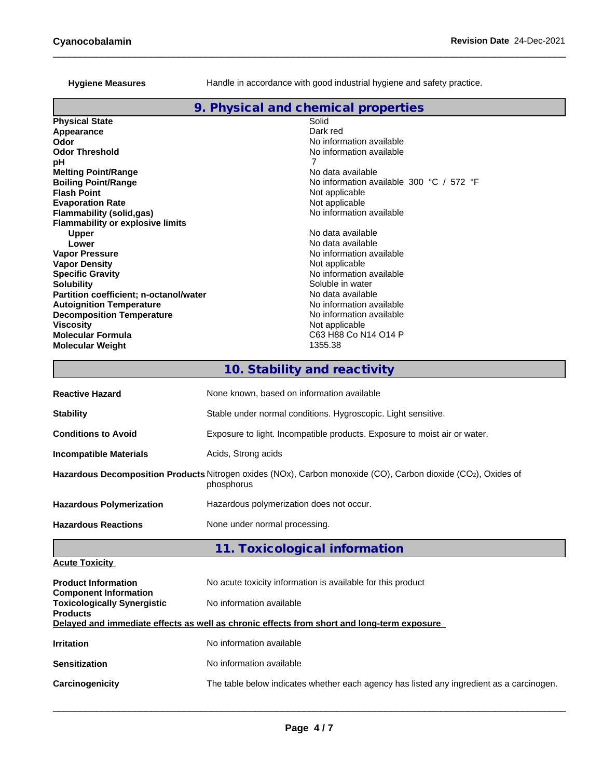#### **Hygiene Measures**

Handle in accordance with good industrial hygiene and safety practice.

## **9. Physical and chemical properties**

| <b>Physical State</b>                         | Solid                                                        |
|-----------------------------------------------|--------------------------------------------------------------|
| Appearance                                    | Dark red                                                     |
| Odor                                          | No information available                                     |
| <b>Odor Threshold</b>                         | No information available                                     |
| рH                                            |                                                              |
| <b>Melting Point/Range</b>                    | No data available                                            |
| <b>Boiling Point/Range</b>                    | No information available 300 $^{\circ}$ C / 572 $^{\circ}$ F |
| <b>Flash Point</b>                            | Not applicable                                               |
| <b>Evaporation Rate</b>                       | Not applicable                                               |
| Flammability (solid,gas)                      | No information available                                     |
| <b>Flammability or explosive limits</b>       |                                                              |
| Upper                                         | No data available                                            |
| Lower                                         | No data available                                            |
| <b>Vapor Pressure</b>                         | No information available                                     |
| <b>Vapor Density</b>                          | Not applicable                                               |
| <b>Specific Gravity</b>                       | No information available                                     |
| <b>Solubility</b>                             | Soluble in water                                             |
| <b>Partition coefficient; n-octanol/water</b> | No data available                                            |
| <b>Autoignition Temperature</b>               | No information available                                     |
| <b>Decomposition Temperature</b>              | No information available                                     |
| Viscosity                                     | Not applicable                                               |
| <b>Molecular Formula</b>                      | C63 H88 Co N14 O14 P                                         |
| <b>Molecular Weight</b>                       | 1355.38                                                      |

# **10. Stability and reactivity**

| <b>Reactive Hazard</b>          | None known, based on information available                                                                                  |  |
|---------------------------------|-----------------------------------------------------------------------------------------------------------------------------|--|
| <b>Stability</b>                | Stable under normal conditions. Hygroscopic. Light sensitive.                                                               |  |
| <b>Conditions to Avoid</b>      | Exposure to light. Incompatible products. Exposure to moist air or water.                                                   |  |
| <b>Incompatible Materials</b>   | Acids, Strong acids                                                                                                         |  |
|                                 | Hazardous Decomposition Products Nitrogen oxides (NOx), Carbon monoxide (CO), Carbon dioxide (CO2), Oxides of<br>phosphorus |  |
| <b>Hazardous Polymerization</b> | Hazardous polymerization does not occur.                                                                                    |  |
| <b>Hazardous Reactions</b>      | None under normal processing.                                                                                               |  |

# **11. Toxicological information**

| <b>Acute Toxicity</b> |  |
|-----------------------|--|
|                       |  |

| <b>Product Information</b><br><b>Component Information</b> | No acute toxicity information is available for this product                                |  |  |  |  |  |  |
|------------------------------------------------------------|--------------------------------------------------------------------------------------------|--|--|--|--|--|--|
| <b>Toxicologically Synergistic</b><br><b>Products</b>      | No information available                                                                   |  |  |  |  |  |  |
|                                                            | Delayed and immediate effects as well as chronic effects from short and long-term exposure |  |  |  |  |  |  |
| <b>Irritation</b>                                          | No information available                                                                   |  |  |  |  |  |  |
| <b>Sensitization</b>                                       | No information available                                                                   |  |  |  |  |  |  |
| Carcinogenicity                                            | The table below indicates whether each agency has listed any ingredient as a carcinogen.   |  |  |  |  |  |  |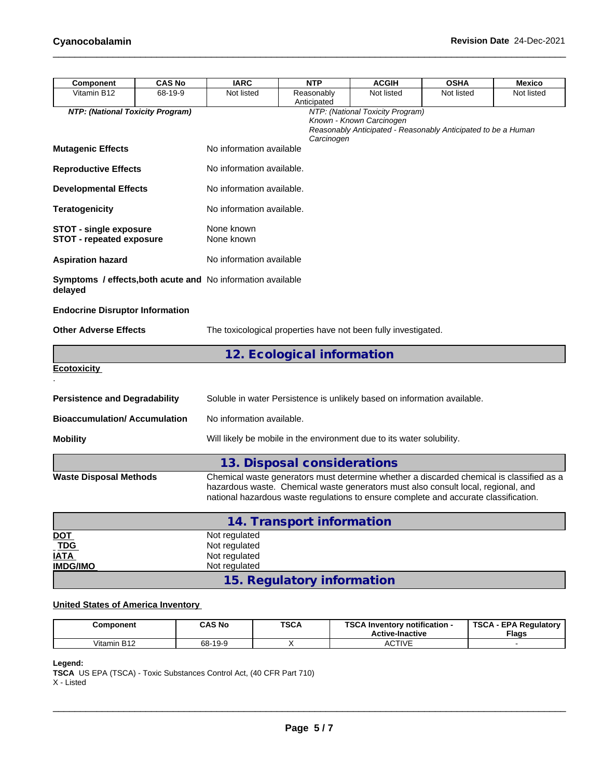| Component                                                              | <b>CAS No</b> | <b>IARC</b>                                     | <b>NTP</b>                                                                                                                                                                                                                                                            | <b>ACGIH</b>                                                 | <b>OSHA</b>                                                   | <b>Mexico</b> |
|------------------------------------------------------------------------|---------------|-------------------------------------------------|-----------------------------------------------------------------------------------------------------------------------------------------------------------------------------------------------------------------------------------------------------------------------|--------------------------------------------------------------|---------------------------------------------------------------|---------------|
| Vitamin B12                                                            | 68-19-9       | Not listed                                      | Reasonably<br>Anticipated                                                                                                                                                                                                                                             | Not listed                                                   | Not listed                                                    | Not listed    |
| NTP: (National Toxicity Program)                                       |               |                                                 | Carcinogen                                                                                                                                                                                                                                                            | NTP: (National Toxicity Program)<br>Known - Known Carcinogen | Reasonably Anticipated - Reasonably Anticipated to be a Human |               |
| <b>Mutagenic Effects</b>                                               |               | No information available                        |                                                                                                                                                                                                                                                                       |                                                              |                                                               |               |
| <b>Reproductive Effects</b>                                            |               | No information available.                       |                                                                                                                                                                                                                                                                       |                                                              |                                                               |               |
| <b>Developmental Effects</b>                                           |               | No information available.                       |                                                                                                                                                                                                                                                                       |                                                              |                                                               |               |
| <b>Teratogenicity</b>                                                  |               | No information available.                       |                                                                                                                                                                                                                                                                       |                                                              |                                                               |               |
| <b>STOT - single exposure</b><br><b>STOT - repeated exposure</b>       |               | None known<br>None known                        |                                                                                                                                                                                                                                                                       |                                                              |                                                               |               |
| <b>Aspiration hazard</b>                                               |               | No information available                        |                                                                                                                                                                                                                                                                       |                                                              |                                                               |               |
| Symptoms / effects, both acute and No information available<br>delayed |               |                                                 |                                                                                                                                                                                                                                                                       |                                                              |                                                               |               |
| <b>Endocrine Disruptor Information</b>                                 |               |                                                 |                                                                                                                                                                                                                                                                       |                                                              |                                                               |               |
| <b>Other Adverse Effects</b>                                           |               |                                                 | The toxicological properties have not been fully investigated.                                                                                                                                                                                                        |                                                              |                                                               |               |
|                                                                        |               |                                                 | 12. Ecological information                                                                                                                                                                                                                                            |                                                              |                                                               |               |
| <b>Ecotoxicity</b>                                                     |               |                                                 |                                                                                                                                                                                                                                                                       |                                                              |                                                               |               |
| <b>Persistence and Degradability</b>                                   |               |                                                 | Soluble in water Persistence is unlikely based on information available.                                                                                                                                                                                              |                                                              |                                                               |               |
| <b>Bioaccumulation/Accumulation</b>                                    |               | No information available.                       |                                                                                                                                                                                                                                                                       |                                                              |                                                               |               |
| <b>Mobility</b>                                                        |               |                                                 | Will likely be mobile in the environment due to its water solubility.                                                                                                                                                                                                 |                                                              |                                                               |               |
|                                                                        |               |                                                 | 13. Disposal considerations                                                                                                                                                                                                                                           |                                                              |                                                               |               |
| <b>Waste Disposal Methods</b>                                          |               |                                                 | Chemical waste generators must determine whether a discarded chemical is classified as a<br>hazardous waste. Chemical waste generators must also consult local, regional, and<br>national hazardous waste regulations to ensure complete and accurate classification. |                                                              |                                                               |               |
|                                                                        |               |                                                 | 14. Transport information                                                                                                                                                                                                                                             |                                                              |                                                               |               |
| DOT<br><b>TDG</b><br><u>IATA</u>                                       |               | Not regulated<br>Not regulated<br>Not regulated |                                                                                                                                                                                                                                                                       |                                                              |                                                               |               |
| <b>IMDG/IMO</b>                                                        |               | Not regulated                                   |                                                                                                                                                                                                                                                                       |                                                              |                                                               |               |

**15. Regulatory information**

## **United States of America Inventory**

| Component                 | <b>CAS No</b> | <b>TSCA</b> | <b>TSCAI</b><br><b>∖ Inventorv notification -</b><br><b>Active-Inactive</b> | <b>TSCA - EPA Regulatory</b><br><b>Flags</b> |
|---------------------------|---------------|-------------|-----------------------------------------------------------------------------|----------------------------------------------|
| D42<br>Vitamin<br>1 B 1 Z | 68-19-9       |             | ACTIVE                                                                      |                                              |

#### **Legend:**

**TSCA** US EPA (TSCA) - Toxic Substances Control Act, (40 CFR Part 710) X - Listed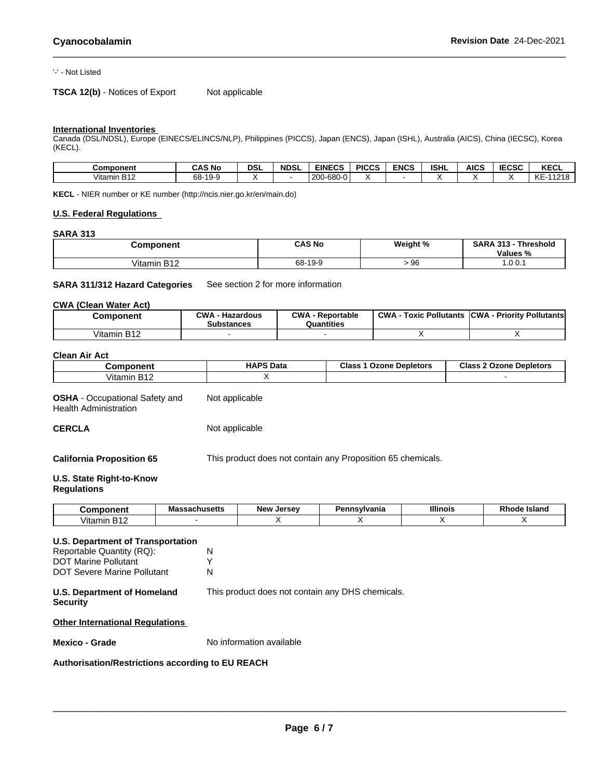#### '-' - Not Listed

## **TSCA 12(b)** - Notices of Export Not applicable

## **International Inventories**

Canada (DSL/NDSL), Europe (EINECS/ELINCS/NLP), Philippines (PICCS), Japan (ENCS), Japan (ISHL), Australia (AICS), China (IECSC), Korea (KECL).

| <b>Component</b> | <b>CAS No</b>           | DSI | <b>NDSL</b> | <b>EINECS</b>                                   | <b>PICCS</b> | <b>ENCS</b> | <b>ISHL</b> | AICS | <b>IECSC</b> | <b>KECL</b>                      |
|------------------|-------------------------|-----|-------------|-------------------------------------------------|--------------|-------------|-------------|------|--------------|----------------------------------|
| Vitamin B12      | 68-<br>$10-9$<br>.<br>ັ |     |             | $\sim$<br>l onn.<br>$\sim$<br>,∠∪∪-⊵"<br>-טסט-ט |              |             |             |      |              | 11010<br>$\sqrt{2}$<br>KE.<br>ιo |

**KECL** - NIER number or KE number (http://ncis.nier.go.kr/en/main.do)

#### **U.S. Federal Regulations**

#### **SARA 313**

| <b>Component</b>                      | <b>CAS No</b> | Weight % | <b>SARA</b><br>242<br>Threshold<br>. .<br>$\sim$<br>Values<br>70 |
|---------------------------------------|---------------|----------|------------------------------------------------------------------|
| Vitamin<br>D <sub>40</sub><br>1 D I Z | 68-19-9       | 96       | 1.0 0.1                                                          |

#### **SARA 311/312 Hazard Categories** See section 2 for more information

#### **CWA (Clean WaterAct)**

| Component   | $\sim$<br>CWA<br>· Reportable<br>Hazardous<br>วินantities<br><b>Substances</b> |  | <b>CWA</b><br>Pollutants<br>⊺oxic | <b>CWA</b><br><b>Priority Pollutants</b> |
|-------------|--------------------------------------------------------------------------------|--|-----------------------------------|------------------------------------------|
| Vitamin B12 |                                                                                |  |                                   |                                          |

#### **Clean Air Act**

| Component                                      | <b>HAPS Data</b> | Class<br>Depletors<br>Ozone | Class<br>Ozone<br><b>Depletors</b> |
|------------------------------------------------|------------------|-----------------------------|------------------------------------|
| D <sub>40</sub><br>$\cdots$<br>Vitamin<br>╵DӀ∠ |                  |                             |                                    |

**OSHA** - Occupational Safety and Health Administration Not applicable

**CERCLA** Not applicable

**California Proposition 65** This product does not contain any Proposition 65 chemicals.

#### **U.S. State Right-to-Know Regulations**

| -----                        | $-220$ bucarra<br>vias<br>861145 <del>6</del> 115 | <b>New</b><br><b>LAPCAV</b><br>Je<br>э. | wwan<br>.,<br>vania | <b>Illinois</b> | <b>Island</b><br>ĸn<br>оа |
|------------------------------|---------------------------------------------------|-----------------------------------------|---------------------|-----------------|---------------------------|
| . .<br>ıtamır<br>$^{\prime}$ |                                                   |                                         |                     |                 |                           |

#### **U.S. Department of Transportation**

Reportable Quantity (RQ): N<br>DOT Marine Pollutant MY DOT Marine Pollutant DOT Severe Marine Pollutant N

**U.S. Department of Homeland** This product does not contain any DHS chemicals.

**Security**

**Other International Regulations**

**Mexico - Grade** No information available

#### **Authorisation/Restrictions according to EU REACH**